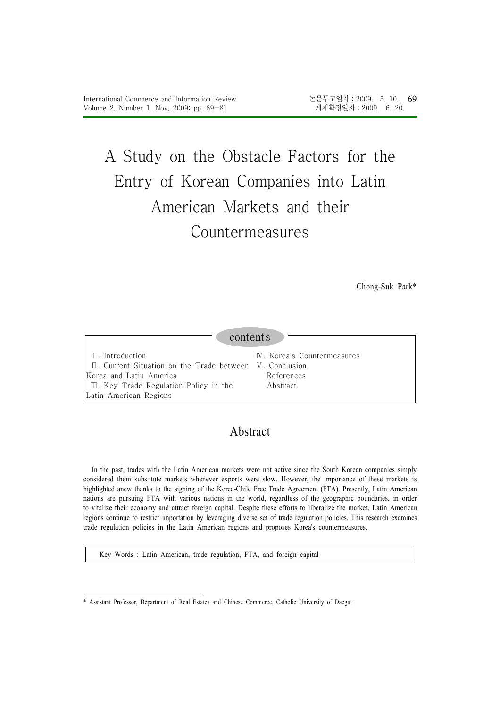# A Study on the Obstacle Factors for the Entry of Korean Companies into Latin American Markets and their Countermeasures

Chong-Suk Park\*

#### contents Ⅰ. Introduction Ⅱ. Current Situation on the Trade between Ⅴ. Conclusion Korea and Latin America Ⅲ. Key Trade Regulation Policy in the Latin American Regions Ⅳ. Korea's Countermeasures References Abstract

## Abstract

In the past, trades with the Latin American markets were not active since the South Korean companies simply considered them substitute markets whenever exports were slow. However, the importance of these markets is highlighted anew thanks to the signing of the Korea-Chile Free Trade Agreement (FTA). Presently, Latin American nations are pursuing FTA with various nations in the world, regardless of the geographic boundaries, in order to vitalize their economy and attract foreign capital. Despite these efforts to liberalize the market, Latin American regions continue to restrict importation by leveraging diverse set of trade regulation policies. This research examines trade regulation policies in the Latin American regions and proposes Korea's countermeasures.

Key Words : Latin American, trade regulation, FTA, and foreign capital

<sup>\*</sup> Assistant Professor, Department of Real Estates and Chinese Commerce, Catholic University of Daegu.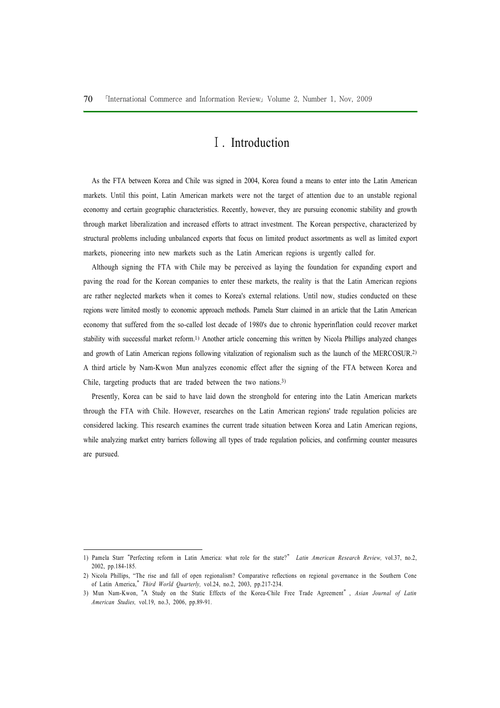## Ⅰ. Introduction

As the FTA between Korea and Chile was signed in 2004, Korea found a means to enter into the Latin American markets. Until this point, Latin American markets were not the target of attention due to an unstable regional economy and certain geographic characteristics. Recently, however, they are pursuing economic stability and growth through market liberalization and increased efforts to attract investment. The Korean perspective, characterized by structural problems including unbalanced exports that focus on limited product assortments as well as limited export markets, pioneering into new markets such as the Latin American regions is urgently called for.

Although signing the FTA with Chile may be perceived as laying the foundation for expanding export and paving the road for the Korean companies to enter these markets, the reality is that the Latin American regions are rather neglected markets when it comes to Korea's external relations. Until now, studies conducted on these regions were limited mostly to economic approach methods. Pamela Starr claimed in an article that the Latin American economy that suffered from the so-called lost decade of 1980's due to chronic hyperinflation could recover market stability with successful market reform.1) Another article concerning this written by Nicola Phillips analyzed changes and growth of Latin American regions following vitalization of regionalism such as the launch of the MERCOSUR.2) A third article by Nam-Kwon Mun analyzes economic effect after the signing of the FTA between Korea and Chile, targeting products that are traded between the two nations.3)

Presently, Korea can be said to have laid down the stronghold for entering into the Latin American markets through the FTA with Chile. However, researches on the Latin American regions' trade regulation policies are considered lacking. This research examines the current trade situation between Korea and Latin American regions, while analyzing market entry barriers following all types of trade regulation policies, and confirming counter measures are pursued.

<sup>1)</sup> Pamela Starr "Perfecting reform in Latin America: what role for the state?" Latin American Research Review, vol.37, no.2, 2002, pp.184-185.

<sup>2)</sup> Nicola Phillips, "The rise and fall of open regionalism? Comparative reflections on regional governance in the Southern Cone of Latin America," Third World Quarterly, vol.24, no.2, 2003, pp.217-234.

<sup>3)</sup> Mun Nam-Kwon, "A Study on the Static Effects of the Korea-Chile Free Trade Agreement", Asian Journal of Latin American Studies, vol.19, no.3, 2006, pp.89-91.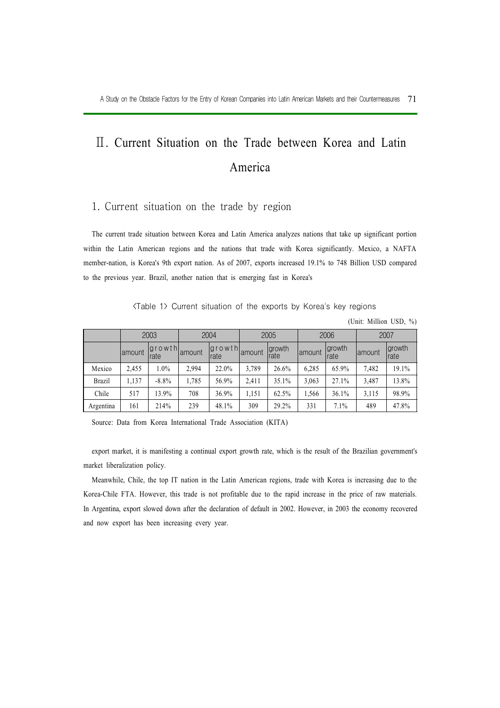## Ⅱ. Current Situation on the Trade between Korea and Latin America

#### 1. Current situation on the trade by region

The current trade situation between Korea and Latin America analyzes nations that take up significant portion within the Latin American regions and the nations that trade with Korea significantly. Mexico, a NAFTA member-nation, is Korea's 9th export nation. As of 2007, exports increased 19.1% to 748 Billion USD compared to the previous year. Brazil, another nation that is emerging fast in Korea's

<Table 1> Current situation of the exports by Korea's key regions

(Unit: Million USD, %)

|               |         | 2003                  |         | 2004                      |       | 2005           |         | 2006           |         | 2007                   |
|---------------|---------|-----------------------|---------|---------------------------|-------|----------------|---------|----------------|---------|------------------------|
|               | lamount | <b>growth</b><br>rate | lamount | $ $ growth amount<br>rate |       | growth<br>rate | lamount | growth<br>rate | lamount | <i>growth</i><br>Irate |
| Mexico        | 2,455   | 1.0%                  | 2,994   | 22.0%                     | 3,789 | 26.6%          | 6,285   | 65.9%          | 7,482   | 19.1%                  |
| <b>Brazil</b> | 1.137   | $-8.8\%$              | 1,785   | 56.9%                     | 2,411 | 35.1%          | 3,063   | 27.1%          | 3,487   | 13.8%                  |
| Chile         | 517     | 13.9%                 | 708     | 36.9%                     | 1,151 | 62.5%          | 1,566   | 36.1%          | 3,115   | 98.9%                  |
| Argentina     | 161     | 214%                  | 239     | 48.1%                     | 309   | 29.2%          | 331     | 7.1%           | 489     | 47.8%                  |

Source: Data from Korea International Trade Association (KITA)

export market, it is manifesting a continual export growth rate, which is the result of the Brazilian government's market liberalization policy.

Meanwhile, Chile, the top IT nation in the Latin American regions, trade with Korea is increasing due to the Korea-Chile FTA. However, this trade is not profitable due to the rapid increase in the price of raw materials. In Argentina, export slowed down after the declaration of default in 2002. However, in 2003 the economy recovered and now export has been increasing every year.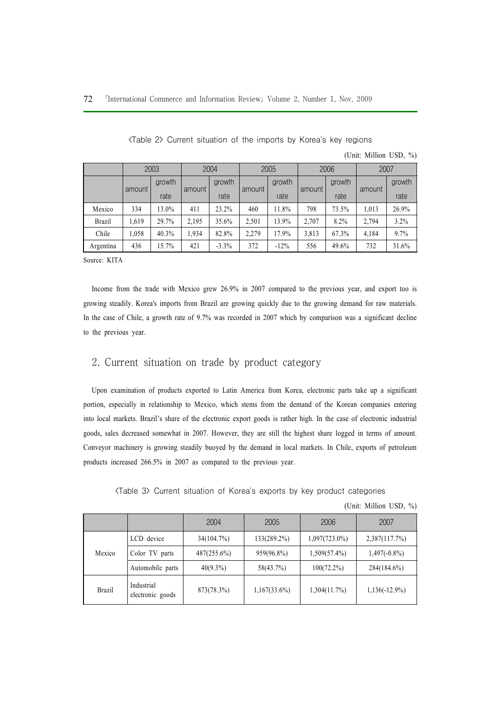|               |       | 2003   |       | 2004    |       | 2005   |       | 2006   | 2007  |        |
|---------------|-------|--------|-------|---------|-------|--------|-------|--------|-------|--------|
|               |       | growth |       | growth  |       | growth |       | growth |       | growth |
| amount        | rate  | amount | rate  | amount  | rate  | amount | rate  | amount | rate  |        |
| Mexico        | 334   | 13.0%  | 411   | 23.2%   | 460   | 11.8%  | 798   | 73.5%  | 1,013 | 26.9%  |
| <b>Brazil</b> | 1.619 | 29.7%  | 2,195 | 35.6%   | 2,501 | 13.9%  | 2,707 | 8.2%   | 2.794 | 3.2%   |
| Chile         | .058  | 40.3%  | 1,934 | 82.8%   | 2,279 | 17.9%  | 3,813 | 67.3%  | 4.184 | 9.7%   |
| Argentina     | 436   | 15.7%  | 421   | $-3.3%$ | 372   | $-12%$ | 556   | 49.6%  | 732   | 31.6%  |

<Table 2> Current situation of the imports by Korea's key regions

Source: KITA

Income from the trade with Mexico grew 26.9% in 2007 compared to the previous year, and export too is growing steadily. Korea's imports from Brazil are growing quickly due to the growing demand for raw materials. In the case of Chile, a growth rate of 9.7% was recorded in 2007 which by comparison was a significant decline to the previous year.

#### 2. Current situation on trade by product category

Upon examination of products exported to Latin America from Korea, electronic parts take up a significant portion, especially in relationship to Mexico, which stems from the demand of the Korean companies entering into local markets. Brazil's share of the electronic export goods is rather high. In the case of electronic industrial goods, sales decreased somewhat in 2007. However, they are still the highest share logged in terms of amount. Conveyor machinery is growing steadily buoyed by the demand in local markets. In Chile, exports of petroleum products increased 266.5% in 2007 as compared to the previous year.

<Table 3> Current situation of Korea's exports by key product categories

|  |  | (Unit: Million USD, %) |  |  |
|--|--|------------------------|--|--|
|--|--|------------------------|--|--|

(Unit: Million USD, %)

|               |                                | 2004        | 2005            | 2006             | 2007             |
|---------------|--------------------------------|-------------|-----------------|------------------|------------------|
|               | LCD device                     | 34(104.7%)  | $133(289.2\%)$  | $1,097(723.0\%)$ | 2,387(117.7%)    |
| Mexico        | Color TV parts                 | 487(255.6%) | 959(96.8%)      | $1,509(57.4\%)$  | $1,497(-0.8\%)$  |
|               | Automobile parts               | $40(9.3\%)$ | 58(43.7%)       | $100(72.2\%)$    | 284(184.6%)      |
| <b>Brazil</b> | Industrial<br>electronic goods | 873(78.3%)  | $1,167(33.6\%)$ | 1,304(11.7%)     | $1,136(-12.9\%)$ |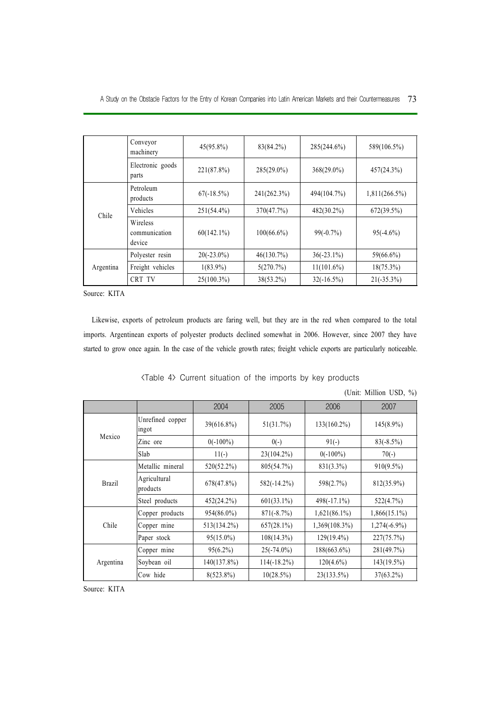|           | Conveyor<br>machinery               | $45(95.8\%)$  | 83(84.2%)     | 285(244.6%)   | 589(106.5%)      |
|-----------|-------------------------------------|---------------|---------------|---------------|------------------|
|           | Electronic goods<br>parts           | 221(87.8%)    | $285(29.0\%)$ | $368(29.0\%)$ | 457(24.3%)       |
| Chile     | Petroleum<br>products               | $67(-18.5%)$  | 241(262.3%)   | 494(104.7%)   | $1,811(266.5\%)$ |
|           | Vehicles                            | $251(54.4\%)$ | 370(47.7%)    | $482(30.2\%)$ | 672(39.5%)       |
|           | Wireless<br>communication<br>device | $60(142.1\%)$ | $100(66.6\%)$ | $99(-0.7%)$   | $95(-4.6%)$      |
| Argentina | Polyester resin                     | $20(-23.0\%)$ | 46(130.7%)    | $36(-23.1\%)$ | $59(66.6\%)$     |
|           | Freight vehicles                    | $1(83.9\%)$   | 5(270.7%)     | $11(101.6\%)$ | $18(75.3\%)$     |
|           | CRT TV                              | $25(100.3\%)$ | $38(53.2\%)$  | $32(-16.5%)$  | $21(-35.3\%)$    |

Source: KITA

Likewise, exports of petroleum products are faring well, but they are in the red when compared to the total imports. Argentinean exports of polyester products declined somewhat in 2006. However, since 2007 they have started to grow once again. In the case of the vehicle growth rates; freight vehicle exports are particularly noticeable.

|               | (UTHL. IVIIIIIUII USD, $/0$ ) |               |                |                  |                 |  |  |
|---------------|-------------------------------|---------------|----------------|------------------|-----------------|--|--|
|               |                               | 2004          | 2005           | 2006             | 2007            |  |  |
| Mexico        | Unrefined copper<br>ingot     | 39(616.8%)    | 51(31.7%)      | $133(160.2\%)$   | $145(8.9\%)$    |  |  |
|               | Zinc ore                      | $0(-100\%)$   | $0(-)$         | $91(-)$          | $83(-8.5%)$     |  |  |
|               | Slab                          | $11(-)$       | $23(104.2\%)$  | $0(-100\%)$      | $70(-)$         |  |  |
|               | Metallic mineral              | $520(52.2\%)$ | 805(54.7%)     | 831(3.3%)        | $910(9.5\%)$    |  |  |
| <b>Brazil</b> | Agricultural<br>products      | 678(47.8%)    | $582(-14.2\%)$ | 598(2.7%)        | 812(35.9%)      |  |  |
|               | Steel products                | 452(24.2%)    | $601(33.1\%)$  | $498(-17.1\%)$   | 522(4.7%)       |  |  |
|               | Copper products               | $954(86.0\%)$ | $871(-8.7%)$   | $1,621(86.1\%)$  | $1,866(15.1\%)$ |  |  |
| Chile         | Copper mine                   | 513(134.2%)   | $657(28.1\%)$  | $1,369(108.3\%)$ | $1,274(-6.9\%)$ |  |  |
|               | Paper stock                   | $95(15.0\%)$  | $108(14.3\%)$  | $129(19.4\%)$    | 227(75.7%)      |  |  |
|               | Copper mine                   | $95(6.2\%)$   | $25(-74.0\%)$  | 188(663.6%)      | 281(49.7%)      |  |  |
| Argentina     | Soybean oil                   | 140(137.8%)   | $114(-18.2\%)$ | $120(4.6\%)$     | 143(19.5%)      |  |  |
|               | Cow hide                      | $8(523.8\%)$  | 10(28.5%)      | 23(133.5%)       | $37(63.2\%)$    |  |  |

<Table 4> Current situation of the imports by key products

Source: KITA

(Unit: Million USD, %)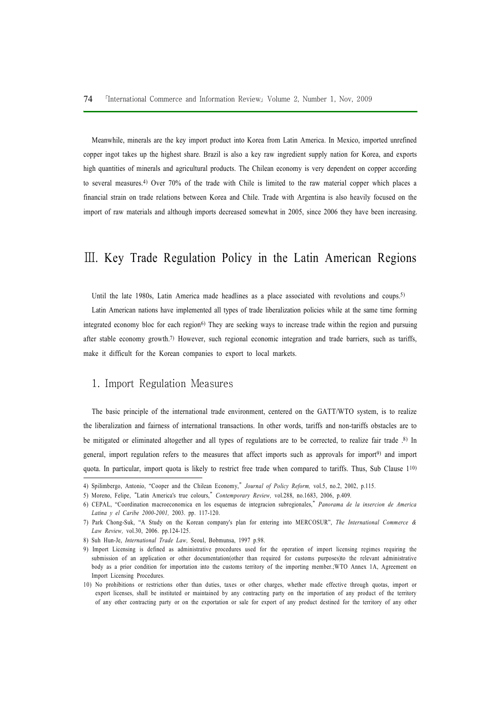Meanwhile, minerals are the key import product into Korea from Latin America. In Mexico, imported unrefined copper ingot takes up the highest share. Brazil is also a key raw ingredient supply nation for Korea, and exports high quantities of minerals and agricultural products. The Chilean economy is very dependent on copper according to several measures.4) Over 70% of the trade with Chile is limited to the raw material copper which places a financial strain on trade relations between Korea and Chile. Trade with Argentina is also heavily focused on the import of raw materials and although imports decreased somewhat in 2005, since 2006 they have been increasing.

## Ⅲ. Key Trade Regulation Policy in the Latin American Regions

Until the late 1980s, Latin America made headlines as a place associated with revolutions and coups.<sup>5)</sup>

Latin American nations have implemented all types of trade liberalization policies while at the same time forming integrated economy bloc for each region<sup>6)</sup> They are seeking ways to increase trade within the region and pursuing after stable economy growth.7) However, such regional economic integration and trade barriers, such as tariffs, make it difficult for the Korean companies to export to local markets.

#### 1. Import Regulation Measures

The basic principle of the international trade environment, centered on the GATT/WTO system, is to realize the liberalization and fairness of international transactions. In other words, tariffs and non-tariffs obstacles are to be mitigated or eliminated altogether and all types of regulations are to be corrected, to realize fair trade .8) In general, import regulation refers to the measures that affect imports such as approvals for import9) and import quota. In particular, import quota is likely to restrict free trade when compared to tariffs. Thus, Sub Clause 110)

<sup>4)</sup> Spilimbergo, Antonio, "Cooper and the Chilean Economy," Journal of Policy Reform, vol.5, no.2, 2002, p.115.

<sup>5)</sup> Moreno, Felipe, "Latin America's true colours," Contemporary Review, vol.288, no.1683, 2006, p.409.

<sup>6)</sup> CEPAL, "Coordination macroeconomica en los esquemas de integracion subregionales," Panorama de la insercion de America Latina y el Caribe 2000-2001, 2003. pp. 117-120.

<sup>7)</sup> Park Chong-Suk, "A Study on the Korean company's plan for entering into MERCOSUR", The International Commerce & Law Review, vol.30, 2006. pp.124-125.

<sup>8)</sup> Suh Hun-Je, International Trade Law, Seoul, Bobmunsa, 1997 p.98.

<sup>9)</sup> Import Licensing is defined as administrative procedures used for the operation of import licensing regimes requiring the submission of an application or other documentation(other than required for customs purposes)to the relevant administrative body as a prior condition for importation into the customs territory of the importing member.;WTO Annex 1A, Agreement on Import Licensing Procedures.

<sup>10)</sup> No prohibitions or restrictions other than duties, taxes or other charges, whether made effective through quotas, import or export licenses, shall be instituted or maintained by any contracting party on the importation of any product of the territory of any other contracting party or on the exportation or sale for export of any product destined for the territory of any other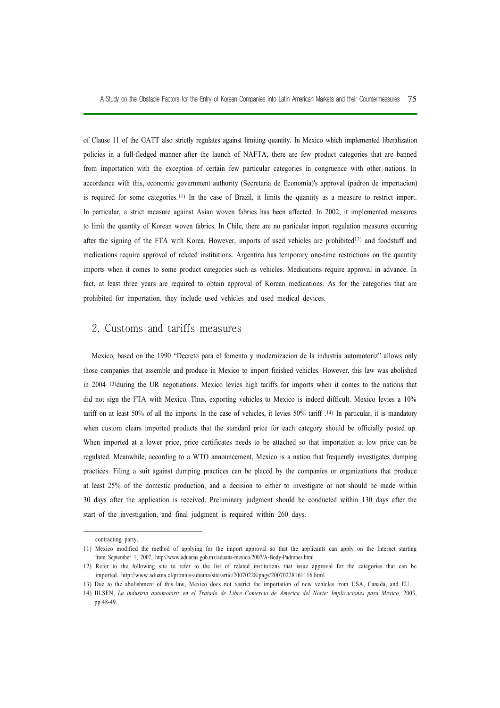A Study on the Obstacle Factors for the Entry of Korean Companies into Latin American Markets and their Countermeasures 75

of Clause 11 of the GATT also strictly regulates against limiting quantity. In Mexico which implemented liberalization policies in a full-fledged manner after the launch of NAFTA, there are few product categories that are banned from importation with the exception of certain few particular categories in congruence with other nations. In accordance with this, economic government authority (Secretaria de Economia)'s approval (padron de importacion) is required for some categories.11) In the case of Brazil, it limits the quantity as a measure to restrict import. In particular, a strict measure against Asian woven fabrics has been affected. In 2002, it implemented measures to limit the quantity of Korean woven fabrics. In Chile, there are no particular import regulation measures occurring after the signing of the FTA with Korea. However, imports of used vehicles are prohibited12) and foodstuff and medications require approval of related institutions. Argentina has temporary one-time restrictions on the quantity imports when it comes to some product categories such as vehicles. Medications require approval in advance. In fact, at least three years are required to obtain approval of Korean medications. As for the categories that are prohibited for importation, they include used vehicles and used medical devices.

#### 2. Customs and tariffs measures

Mexico, based on the 1990 "Decreto para el fomento y modernizacion de la industria automotoriz" allows only those companies that assemble and produce in Mexico to import finished vehicles. However, this law was abolished in 2004 13)during the UR negotiations. Mexico levies high tariffs for imports when it comes to the nations that did not sign the FTA with Mexico. Thus, exporting vehicles to Mexico is indeed difficult. Mexico levies a 10% tariff on at least 50% of all the imports. In the case of vehicles, it levies 50% tariff .14) In particular, it is mandatory when custom clears imported products that the standard price for each category should be officially posted up. When imported at a lower price, price certificates needs to be attached so that importation at low price can be regulated. Meanwhile, according to a WTO announcement, Mexico is a nation that frequently investigates dumping practices. Filing a suit against dumping practices can be placed by the companies or organizations that produce at least 25% of the domestic production, and a decision to either to investigate or not should be made within 30 days after the application is received. Preliminary judgment should be conducted within 130 days after the start of the investigation, and final judgment is required within 260 days.

contracting party.

<sup>11)</sup> Mexico modified the method of applying for the import approval so that the applicants can apply on the Internet starting from September 1, 2007. http://www.aduanas.gob.mx/aduana-mexico/2007/A-Body-Padrones.html

<sup>12)</sup> Refer to the following site to refer to the list of related institutions that issue approval for the categories that can be imported. http://www.aduana.cl/prontus-aduana/site/artic/20070228/pags/20070228161116.html

<sup>13)</sup> Due to the abolishment of this law, Mexico does not restrict the importation of new vehicles from USA, Canada, and EU.

<sup>14)</sup> IILSEN, La industria automotoriz en el Tratado de Libre Comercio de America del Norte: Implicaciones para Mexico, 2003, pp.48-49.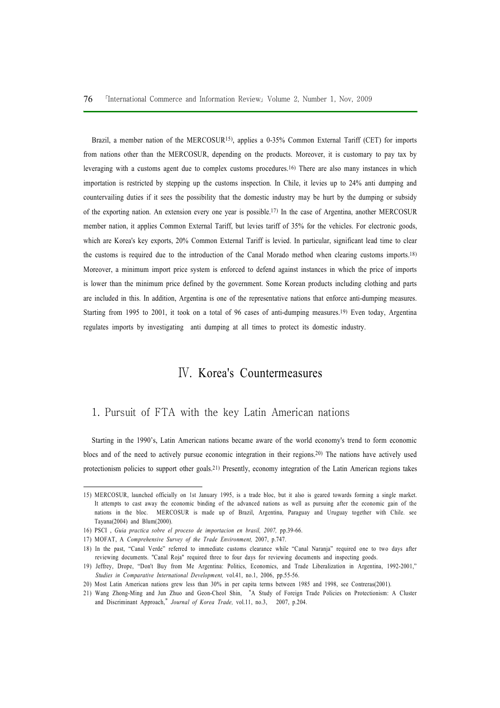Brazil, a member nation of the MERCOSUR<sup>15</sup>), applies a 0-35% Common External Tariff (CET) for imports from nations other than the MERCOSUR, depending on the products. Moreover, it is customary to pay tax by leveraging with a customs agent due to complex customs procedures.16) There are also many instances in which importation is restricted by stepping up the customs inspection. In Chile, it levies up to 24% anti dumping and countervailing duties if it sees the possibility that the domestic industry may be hurt by the dumping or subsidy of the exporting nation. An extension every one year is possible.17) In the case of Argentina, another MERCOSUR member nation, it applies Common External Tariff, but levies tariff of 35% for the vehicles. For electronic goods, which are Korea's key exports, 20% Common External Tariff is levied. In particular, significant lead time to clear the customs is required due to the introduction of the Canal Morado method when clearing customs imports.18) Moreover, a minimum import price system is enforced to defend against instances in which the price of imports is lower than the minimum price defined by the government. Some Korean products including clothing and parts are included in this. In addition, Argentina is one of the representative nations that enforce anti-dumping measures. Starting from 1995 to 2001, it took on a total of 96 cases of anti-dumping measures.19) Even today, Argentina regulates imports by investigating anti dumping at all times to protect its domestic industry.

## Ⅳ. Korea's Countermeasures

#### 1. Pursuit of FTA with the key Latin American nations

Starting in the 1990's, Latin American nations became aware of the world economy's trend to form economic blocs and of the need to actively pursue economic integration in their regions.20) The nations have actively used protectionism policies to support other goals.21) Presently, economy integration of the Latin American regions takes

<sup>15)</sup> MERCOSUR, launched officially on 1st January 1995, is a trade bloc, but it also is geared towards forming a single market. It attempts to cast away the economic binding of the advanced nations as well as pursuing after the economic gain of the nations in the bloc. MERCOSUR is made up of Brazil, Argentina, Paraguay and Uruguay together with Chile. see Tayana(2004) and Blum(2000).

<sup>16)</sup> PSCI , Guia practica sobre el proceso de importacion en brasil, 2007, pp.39-66.

<sup>17)</sup> MOFAT, A Comprehensive Survey of the Trade Environment, 2007, p.747.

<sup>18)</sup> In the past, "Canal Verde" referred to immediate customs clearance while "Canal Naranja" required one to two days after reviewing documents. "Canal Roja" required three to four days for reviewing documents and inspecting goods.

<sup>19)</sup> Jeffrey, Drope, "Don't Buy from Me Argentina: Politics, Economics, and Trade Liberalization in Argentina, 1992-2001," Studies in Comparative International Development, vol.41, no.1, 2006, pp.55-56.

<sup>20)</sup> Most Latin American nations grew less than 30% in per capita terms between 1985 and 1998, see Contreras(2001).

<sup>21)</sup> Wang Zhong-Ming and Jun Zhuo and Geon-Cheol Shin, "A Study of Foreign Trade Policies on Protectionism: A Cluster and Discriminant Approach," Journal of Korea Trade, vol.11, no.3, 2007, p.204.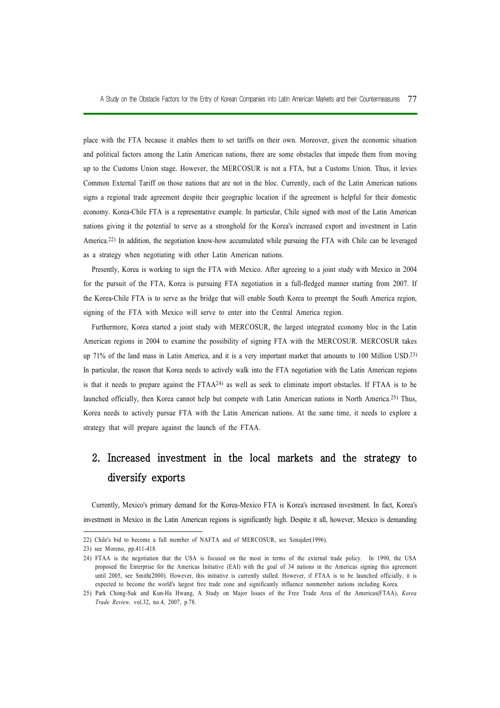place with the FTA because it enables them to set tariffs on their own. Moreover, given the economic situation and political factors among the Latin American nations, there are some obstacles that impede them from moving up to the Customs Union stage. However, the MERCOSUR is not a FTA, but a Customs Union. Thus, it levies Common External Tariff on those nations that are not in the bloc. Currently, each of the Latin American nations signs a regional trade agreement despite their geographic location if the agreement is helpful for their domestic economy. Korea-Chile FTA is a representative example. In particular, Chile signed with most of the Latin American nations giving it the potential to serve as a stronghold for the Korea's increased export and investment in Latin America.22) In addition, the negotiation know-how accumulated while pursuing the FTA with Chile can be leveraged as a strategy when negotiating with other Latin American nations.

Presently, Korea is working to sign the FTA with Mexico. After agreeing to a joint study with Mexico in 2004 for the pursuit of the FTA, Korea is pursuing FTA negotiation in a full-fledged manner starting from 2007. If the Korea-Chile FTA is to serve as the bridge that will enable South Korea to preempt the South America region, signing of the FTA with Mexico will serve to enter into the Central America region.

Furthermore, Korea started a joint study with MERCOSUR, the largest integrated economy bloc in the Latin American regions in 2004 to examine the possibility of signing FTA with the MERCOSUR. MERCOSUR takes up 71% of the land mass in Latin America, and it is a very important market that amounts to 100 Million USD.23) In particular, the reason that Korea needs to actively walk into the FTA negotiation with the Latin American regions is that it needs to prepare against the FTAA24) as well as seek to eliminate import obstacles. If FTAA is to be launched officially, then Korea cannot help but compete with Latin American nations in North America.25) Thus, Korea needs to actively pursue FTA with the Latin American nations. At the same time, it needs to explore a strategy that will prepare against the launch of the FTAA.

## 2. Increased investment in the local markets and the strategy to diversify exports

Currently, Mexico's primary demand for the Korea-Mexico FTA is Korea's increased investment. In fact, Korea's investment in Mexico in the Latin American regions is significantly high. Despite it all, however, Mexico is demanding

<sup>22)</sup> Chile's bid to become a full member of NAFTA and of MERCOSUR, see Sznajder(1996).

<sup>23)</sup> see Moreno, pp.411-418.

<sup>24)</sup> FTAA is the negotiation that the USA is focused on the most in terms of the external trade policy. In 1990, the USA proposed the Enterprise for the Americas Initiative (EAI) with the goal of 34 nations in the Americas signing this agreement until 2005, see Smith(2000). However, this initiative is currently stalled. However, if FTAA is to be launched officially, it is expected to become the world's largest free trade zone and significantly influence nonmember nations including Korea.

<sup>25)</sup> Park Chong-Suk and Kun-Ha Hwang, A Study on Major Issues of the Free Trade Area of the Americas(FTAA), Korea Trade Review, vol.32, no.4, 2007, p.78.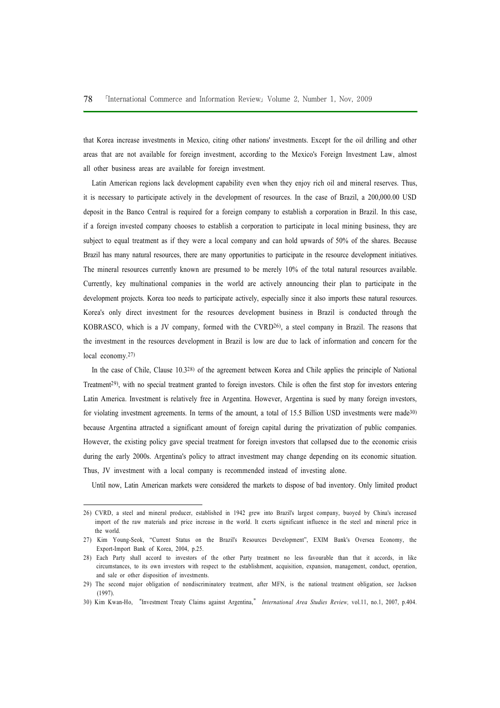that Korea increase investments in Mexico, citing other nations' investments. Except for the oil drilling and other areas that are not available for foreign investment, according to the Mexico's Foreign Investment Law, almost all other business areas are available for foreign investment.

Latin American regions lack development capability even when they enjoy rich oil and mineral reserves. Thus, it is necessary to participate actively in the development of resources. In the case of Brazil, a 200,000.00 USD deposit in the Banco Central is required for a foreign company to establish a corporation in Brazil. In this case, if a foreign invested company chooses to establish a corporation to participate in local mining business, they are subject to equal treatment as if they were a local company and can hold upwards of 50% of the shares. Because Brazil has many natural resources, there are many opportunities to participate in the resource development initiatives. The mineral resources currently known are presumed to be merely 10% of the total natural resources available. Currently, key multinational companies in the world are actively announcing their plan to participate in the development projects. Korea too needs to participate actively, especially since it also imports these natural resources. Korea's only direct investment for the resources development business in Brazil is conducted through the KOBRASCO, which is a JV company, formed with the CVRD26), a steel company in Brazil. The reasons that the investment in the resources development in Brazil is low are due to lack of information and concern for the local economy.27)

In the case of Chile, Clause 10.328) of the agreement between Korea and Chile applies the principle of National Treatment29), with no special treatment granted to foreign investors. Chile is often the first stop for investors entering Latin America. Investment is relatively free in Argentina. However, Argentina is sued by many foreign investors, for violating investment agreements. In terms of the amount, a total of 15.5 Billion USD investments were made30) because Argentina attracted a significant amount of foreign capital during the privatization of public companies. However, the existing policy gave special treatment for foreign investors that collapsed due to the economic crisis during the early 2000s. Argentina's policy to attract investment may change depending on its economic situation. Thus, JV investment with a local company is recommended instead of investing alone.

Until now, Latin American markets were considered the markets to dispose of bad inventory. Only limited product

<sup>26)</sup> CVRD, a steel and mineral producer, established in 1942 grew into Brazil's largest company, buoyed by China's increased import of the raw materials and price increase in the world. It exerts significant influence in the steel and mineral price in the world.

<sup>27)</sup> Kim Young-Seok, "Current Status on the Brazil's Resources Development", EXIM Bank's Oversea Economy, the Export-Import Bank of Korea, 2004, p.25.

<sup>28)</sup> Each Party shall accord to investors of the other Party treatment no less favourable than that it accords, in like circumstances, to its own investors with respect to the establishment, acquisition, expansion, management, conduct, operation, and sale or other disposition of investments.

<sup>29)</sup> The second major obligation of nondiscriminatory treatment, after MFN, is the national treatment obligation, see Jackson (1997).

<sup>30)</sup> Kim Kwan-Ho, "Investment Treaty Claims against Argentina," International Area Studies Review, vol.11, no.1, 2007, p.404.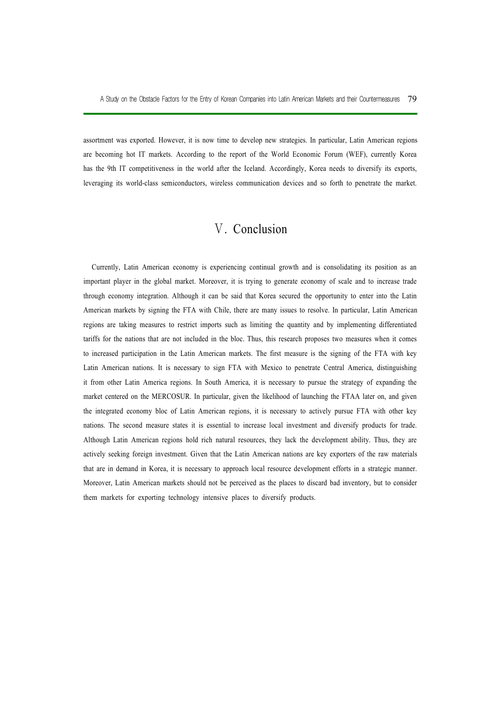assortment was exported. However, it is now time to develop new strategies. In particular, Latin American regions are becoming hot IT markets. According to the report of the World Economic Forum (WEF), currently Korea has the 9th IT competitiveness in the world after the Iceland. Accordingly, Korea needs to diversify its exports, leveraging its world-class semiconductors, wireless communication devices and so forth to penetrate the market.

## Ⅴ. Conclusion

Currently, Latin American economy is experiencing continual growth and is consolidating its position as an important player in the global market. Moreover, it is trying to generate economy of scale and to increase trade through economy integration. Although it can be said that Korea secured the opportunity to enter into the Latin American markets by signing the FTA with Chile, there are many issues to resolve. In particular, Latin American regions are taking measures to restrict imports such as limiting the quantity and by implementing differentiated tariffs for the nations that are not included in the bloc. Thus, this research proposes two measures when it comes to increased participation in the Latin American markets. The first measure is the signing of the FTA with key Latin American nations. It is necessary to sign FTA with Mexico to penetrate Central America, distinguishing it from other Latin America regions. In South America, it is necessary to pursue the strategy of expanding the market centered on the MERCOSUR. In particular, given the likelihood of launching the FTAA later on, and given the integrated economy bloc of Latin American regions, it is necessary to actively pursue FTA with other key nations. The second measure states it is essential to increase local investment and diversify products for trade. Although Latin American regions hold rich natural resources, they lack the development ability. Thus, they are actively seeking foreign investment. Given that the Latin American nations are key exporters of the raw materials that are in demand in Korea, it is necessary to approach local resource development efforts in a strategic manner. Moreover, Latin American markets should not be perceived as the places to discard bad inventory, but to consider them markets for exporting technology intensive places to diversify products.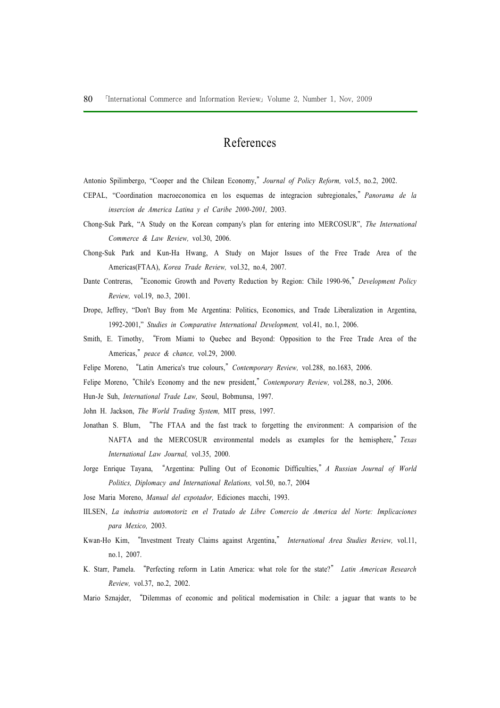## References

Antonio Spilimbergo, "Cooper and the Chilean Economy," Journal of Policy Reform, vol.5, no.2, 2002.

- CEPAL, "Coordination macroeconomica en los esquemas de integracion subregionales," Panorama de la insercion de America Latina y el Caribe 2000-2001, 2003.
- Chong-Suk Park, "A Study on the Korean company's plan for entering into MERCOSUR", The International Commerce & Law Review, vol.30, 2006.
- Chong-Suk Park and Kun-Ha Hwang, A Study on Major Issues of the Free Trade Area of the Americas(FTAA), Korea Trade Review, vol.32, no.4, 2007.
- Dante Contreras, "Economic Growth and Poverty Reduction by Region: Chile 1990-96," Development Policy Review, vol.19, no.3, 2001.
- Drope, Jeffrey, "Don't Buy from Me Argentina: Politics, Economics, and Trade Liberalization in Argentina, 1992-2001," Studies in Comparative International Development, vol.41, no.1, 2006.
- Smith, E. Timothy, "From Miami to Quebec and Beyond: Opposition to the Free Trade Area of the Americas," peace & chance, vol.29, 2000.
- Felipe Moreno, "Latin America's true colours," Contemporary Review, vol.288, no.1683, 2006.
- Felipe Moreno, "Chile's Economy and the new president," Contemporary Review, vol.288, no.3, 2006.
- Hun-Je Suh, International Trade Law, Seoul, Bobmunsa, 1997.
- John H. Jackson, The World Trading System, MIT press, 1997.
- Jonathan S. Blum, "The FTAA and the fast track to forgetting the environment: A comparision of the NAFTA and the MERCOSUR environmental models as examples for the hemisphere," Texas International Law Journal, vol.35, 2000.
- Jorge Enrique Tayana, "Argentina: Pulling Out of Economic Difficulties," A Russian Journal of World Politics, Diplomacy and International Relations, vol.50, no.7, 2004
- Jose Maria Moreno, Manual del expotador, Ediciones macchi, 1993.
- IILSEN, La industria automotoriz en el Tratado de Libre Comercio de America del Norte: Implicaciones para Mexico, 2003.
- Kwan-Ho Kim, "Investment Treaty Claims against Argentina," International Area Studies Review, vol.11, no.1, 2007.
- K. Starr, Pamela. "Perfecting reform in Latin America: what role for the state?" Latin American Research Review, vol.37, no.2, 2002.
- Mario Sznajder, "Dilemmas of economic and political modernisation in Chile: a jaguar that wants to be